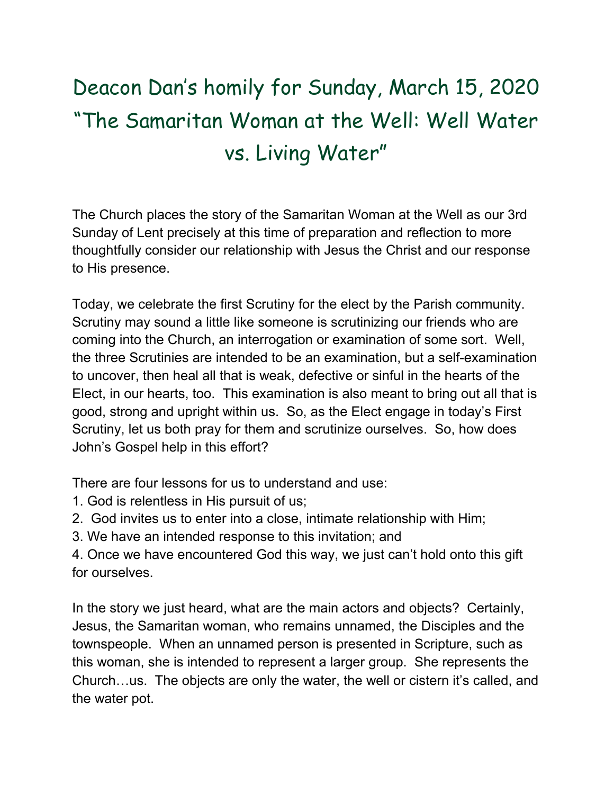## Deacon Dan's homily for Sunday, March 15, 2020 "The Samaritan Woman at the Well: Well Water vs. Living Water"

The Church places the story of the Samaritan Woman at the Well as our 3rd Sunday of Lent precisely at this time of preparation and reflection to more thoughtfully consider our relationship with Jesus the Christ and our response to His presence.

Today, we celebrate the first Scrutiny for the elect by the Parish community. Scrutiny may sound a little like someone is scrutinizing our friends who are coming into the Church, an interrogation or examination of some sort. Well, the three Scrutinies are intended to be an examination, but a self-examination to uncover, then heal all that is weak, defective or sinful in the hearts of the Elect, in our hearts, too. This examination is also meant to bring out all that is good, strong and upright within us. So, as the Elect engage in today's First Scrutiny, let us both pray for them and scrutinize ourselves. So, how does John's Gospel help in this effort?

There are four lessons for us to understand and use:

- 1. God is relentless in His pursuit of us;
- 2. God invites us to enter into a close, intimate relationship with Him;
- 3. We have an intended response to this invitation; and

4. Once we have encountered God this way, we just can't hold onto this gift for ourselves.

In the story we just heard, what are the main actors and objects? Certainly, Jesus, the Samaritan woman, who remains unnamed, the Disciples and the townspeople. When an unnamed person is presented in Scripture, such as this woman, she is intended to represent a larger group. She represents the Church…us. The objects are only the water, the well or cistern it's called, and the water pot.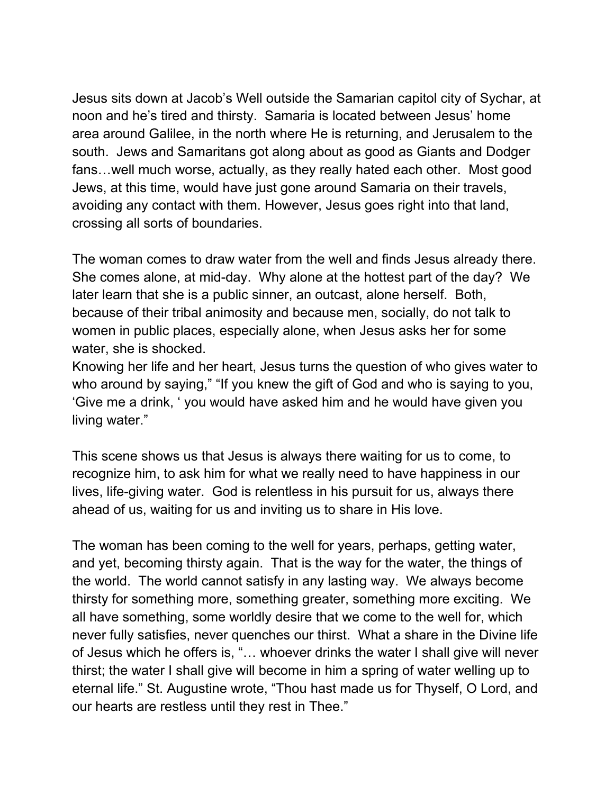Jesus sits down at Jacob's Well outside the Samarian capitol city of Sychar, at noon and he's tired and thirsty. Samaria is located between Jesus' home area around Galilee, in the north where He is returning, and Jerusalem to the south. Jews and Samaritans got along about as good as Giants and Dodger fans…well much worse, actually, as they really hated each other. Most good Jews, at this time, would have just gone around Samaria on their travels, avoiding any contact with them. However, Jesus goes right into that land, crossing all sorts of boundaries.

The woman comes to draw water from the well and finds Jesus already there. She comes alone, at mid-day. Why alone at the hottest part of the day? We later learn that she is a public sinner, an outcast, alone herself. Both, because of their tribal animosity and because men, socially, do not talk to women in public places, especially alone, when Jesus asks her for some water, she is shocked.

Knowing her life and her heart, Jesus turns the question of who gives water to who around by saying," "If you knew the gift of God and who is saying to you, 'Give me a drink, ' you would have asked him and he would have given you living water."

This scene shows us that Jesus is always there waiting for us to come, to recognize him, to ask him for what we really need to have happiness in our lives, life-giving water. God is relentless in his pursuit for us, always there ahead of us, waiting for us and inviting us to share in His love.

The woman has been coming to the well for years, perhaps, getting water, and yet, becoming thirsty again. That is the way for the water, the things of the world. The world cannot satisfy in any lasting way. We always become thirsty for something more, something greater, something more exciting. We all have something, some worldly desire that we come to the well for, which never fully satisfies, never quenches our thirst. What a share in the Divine life of Jesus which he offers is, "… whoever drinks the water I shall give will never thirst; the water I shall give will become in him a spring of water welling up to eternal life." St. Augustine wrote, "Thou hast made us for Thyself, O Lord, and our hearts are restless until they rest in Thee."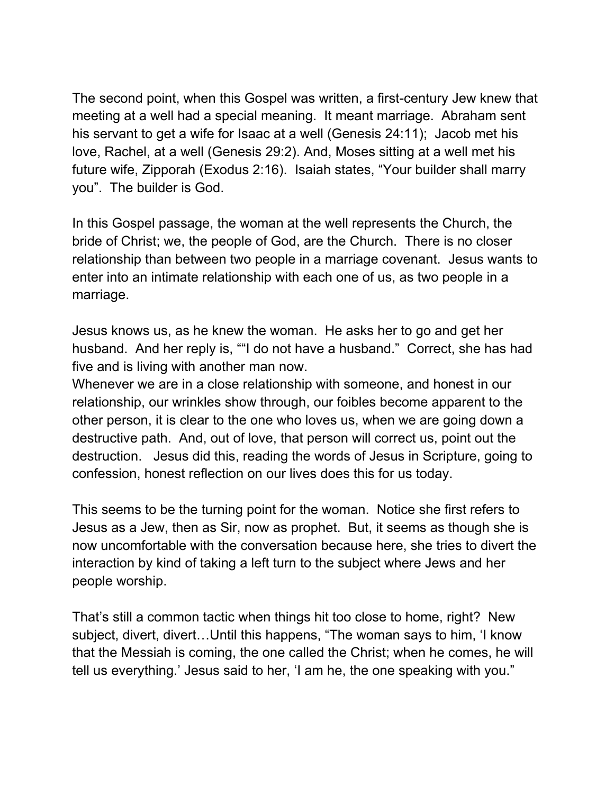The second point, when this Gospel was written, a first-century Jew knew that meeting at a well had a special meaning. It meant marriage. Abraham sent his servant to get a wife for Isaac at a well (Genesis 24:11); Jacob met his love, Rachel, at a well (Genesis 29:2). And, Moses sitting at a well met his future wife, Zipporah (Exodus 2:16). Isaiah states, "Your builder shall marry you". The builder is God.

In this Gospel passage, the woman at the well represents the Church, the bride of Christ; we, the people of God, are the Church. There is no closer relationship than between two people in a marriage covenant. Jesus wants to enter into an intimate relationship with each one of us, as two people in a marriage.

Jesus knows us, as he knew the woman. He asks her to go and get her husband. And her reply is, ""I do not have a husband." Correct, she has had five and is living with another man now.

Whenever we are in a close relationship with someone, and honest in our relationship, our wrinkles show through, our foibles become apparent to the other person, it is clear to the one who loves us, when we are going down a destructive path. And, out of love, that person will correct us, point out the destruction. Jesus did this, reading the words of Jesus in Scripture, going to confession, honest reflection on our lives does this for us today.

This seems to be the turning point for the woman. Notice she first refers to Jesus as a Jew, then as Sir, now as prophet. But, it seems as though she is now uncomfortable with the conversation because here, she tries to divert the interaction by kind of taking a left turn to the subject where Jews and her people worship.

That's still a common tactic when things hit too close to home, right? New subject, divert, divert…Until this happens, "The woman says to him, 'I know that the Messiah is coming, the one called the Christ; when he comes, he will tell us everything.' Jesus said to her, 'I am he, the one speaking with you."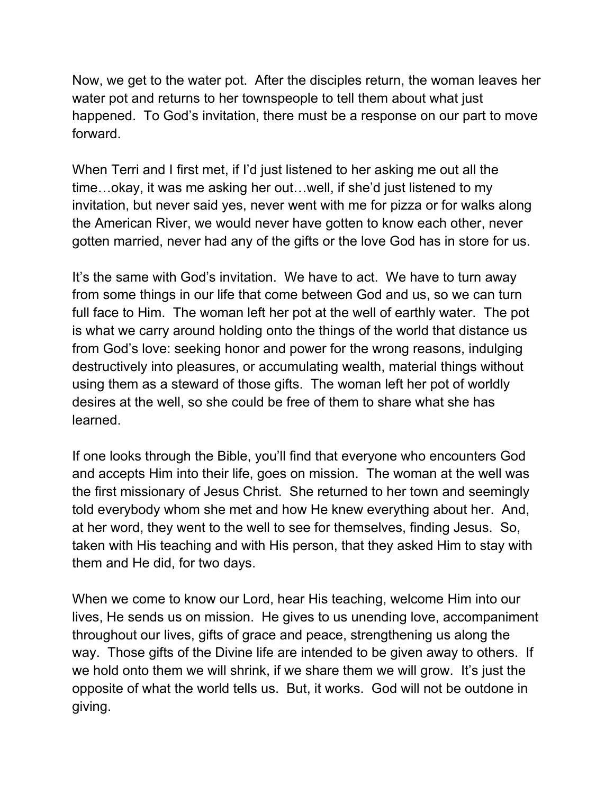Now, we get to the water pot. After the disciples return, the woman leaves her water pot and returns to her townspeople to tell them about what just happened. To God's invitation, there must be a response on our part to move forward.

When Terri and I first met, if I'd just listened to her asking me out all the time…okay, it was me asking her out…well, if she'd just listened to my invitation, but never said yes, never went with me for pizza or for walks along the American River, we would never have gotten to know each other, never gotten married, never had any of the gifts or the love God has in store for us.

It's the same with God's invitation. We have to act. We have to turn away from some things in our life that come between God and us, so we can turn full face to Him. The woman left her pot at the well of earthly water. The pot is what we carry around holding onto the things of the world that distance us from God's love: seeking honor and power for the wrong reasons, indulging destructively into pleasures, or accumulating wealth, material things without using them as a steward of those gifts. The woman left her pot of worldly desires at the well, so she could be free of them to share what she has learned.

If one looks through the Bible, you'll find that everyone who encounters God and accepts Him into their life, goes on mission. The woman at the well was the first missionary of Jesus Christ. She returned to her town and seemingly told everybody whom she met and how He knew everything about her. And, at her word, they went to the well to see for themselves, finding Jesus. So, taken with His teaching and with His person, that they asked Him to stay with them and He did, for two days.

When we come to know our Lord, hear His teaching, welcome Him into our lives, He sends us on mission. He gives to us unending love, accompaniment throughout our lives, gifts of grace and peace, strengthening us along the way. Those gifts of the Divine life are intended to be given away to others. If we hold onto them we will shrink, if we share them we will grow. It's just the opposite of what the world tells us. But, it works. God will not be outdone in giving.